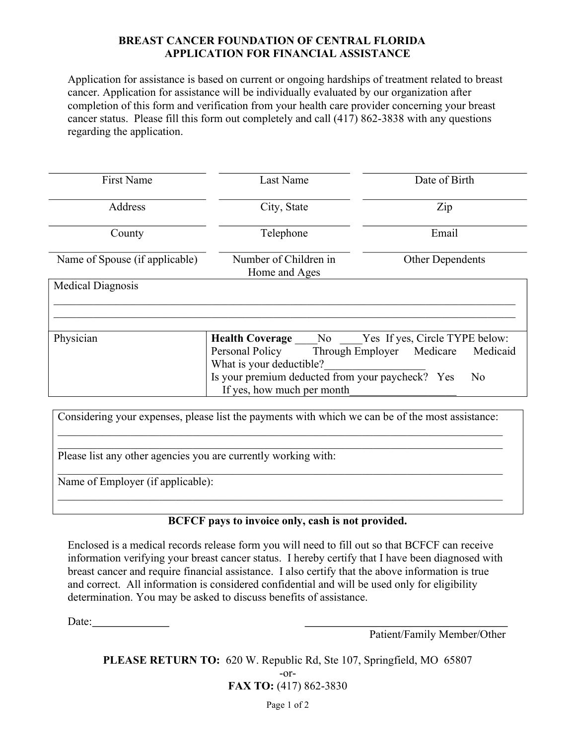### BREAST CANCER FOUNDATION OF CENTRAL FLORIDA APPLICATION FOR FINANCIAL ASSISTANCE

Application for assistance is based on current or ongoing hardships of treatment related to breast cancer. Application for assistance will be individually evaluated by our organization after completion of this form and verification from your health care provider concerning your breast cancer status. Please fill this form out completely and call (417) 862-3838 with any questions regarding the application.

| <b>First Name</b>              | Last Name                                                          | Date of Birth                  |
|--------------------------------|--------------------------------------------------------------------|--------------------------------|
| Address                        | City, State                                                        | Zip                            |
| County                         | Telephone                                                          | Email                          |
| Name of Spouse (if applicable) | Number of Children in<br>Home and Ages                             | <b>Other Dependents</b>        |
| <b>Medical Diagnosis</b>       |                                                                    |                                |
|                                |                                                                    |                                |
| Physician                      | <b>Health Coverage</b> No                                          | Yes If yes, Circle TYPE below: |
|                                | Personal Policy Through Employer Medicare                          | Medicaid                       |
|                                | What is your deductible?                                           |                                |
|                                | Is your premium deducted from your paycheck? Yes<br>N <sub>o</sub> |                                |
|                                | If yes, how much per month                                         |                                |

| Considering your expenses, please list the payments with which we can be of the most assistance: |
|--------------------------------------------------------------------------------------------------|
| Please list any other agencies you are currently working with:                                   |
| Name of Employer (if applicable):                                                                |
|                                                                                                  |

# BCFCF pays to invoice only, cash is not provided.

Enclosed is a medical records release form you will need to fill out so that BCFCF can receive information verifying your breast cancer status. I hereby certify that I have been diagnosed with breast cancer and require financial assistance. I also certify that the above information is true and correct. All information is considered confidential and will be used only for eligibility determination. You may be asked to discuss benefits of assistance.

Date:

Patient/Family Member/Other

PLEASE RETURN TO: 620 W. Republic Rd, Ste 107, Springfield, MO 65807

-or-FAX TO: (417) 862-3830